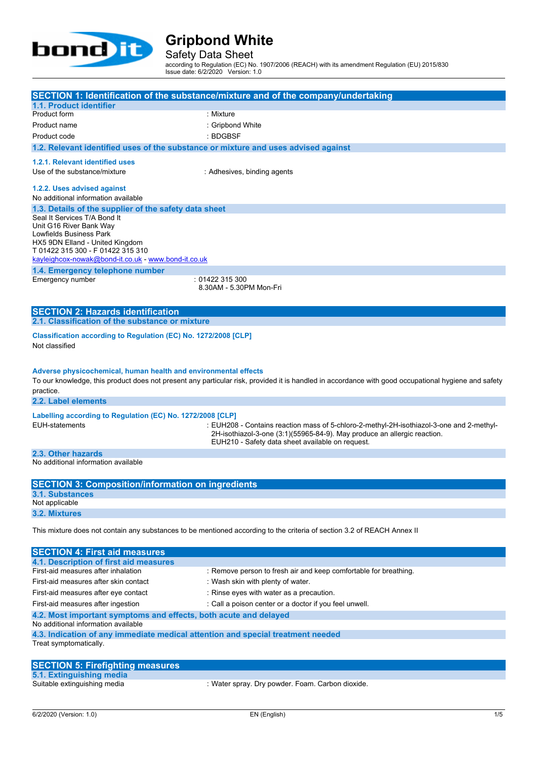

Safety Data Sheet

according to Regulation (EC) No. 1907/2006 (REACH) with its amendment Regulation (EU) 2015/830 Issue date: 6/2/2020 Version: 1.0

|                                                                                    | SECTION 1: Identification of the substance/mixture and of the company/undertaking                                                                                    |
|------------------------------------------------------------------------------------|----------------------------------------------------------------------------------------------------------------------------------------------------------------------|
| 1.1. Product identifier                                                            |                                                                                                                                                                      |
| Product form                                                                       | : Mixture                                                                                                                                                            |
| Product name                                                                       | : Gripbond White                                                                                                                                                     |
| Product code                                                                       | : BDGBSF                                                                                                                                                             |
| 1.2. Relevant identified uses of the substance or mixture and uses advised against |                                                                                                                                                                      |
| 1.2.1. Relevant identified uses                                                    |                                                                                                                                                                      |
| Use of the substance/mixture                                                       | : Adhesives, binding agents                                                                                                                                          |
| 1.2.2. Uses advised against                                                        |                                                                                                                                                                      |
| No additional information available                                                |                                                                                                                                                                      |
| 1.3. Details of the supplier of the safety data sheet                              |                                                                                                                                                                      |
| Seal It Services T/A Bond It                                                       |                                                                                                                                                                      |
| Unit G16 River Bank Way                                                            |                                                                                                                                                                      |
| Lowfields Business Park                                                            |                                                                                                                                                                      |
| HX5 9DN Elland - United Kingdom<br>T 01422 315 300 - F 01422 315 310               |                                                                                                                                                                      |
| kayleighcox-nowak@bond-it.co.uk - www.bond-it.co.uk                                |                                                                                                                                                                      |
| 1.4. Emergency telephone number                                                    |                                                                                                                                                                      |
| Emergency number                                                                   | :01422315300                                                                                                                                                         |
|                                                                                    | 8.30AM - 5.30PM Mon-Fri                                                                                                                                              |
|                                                                                    |                                                                                                                                                                      |
| <b>SECTION 2: Hazards identification</b>                                           |                                                                                                                                                                      |
| 2.1. Classification of the substance or mixture                                    |                                                                                                                                                                      |
| Classification according to Regulation (EC) No. 1272/2008 [CLP]                    |                                                                                                                                                                      |
| Not classified                                                                     |                                                                                                                                                                      |
|                                                                                    |                                                                                                                                                                      |
| Adverse physicochemical, human health and environmental effects                    |                                                                                                                                                                      |
|                                                                                    | To our knowledge, this product does not present any particular risk, provided it is handled in accordance with good occupational hygiene and safety                  |
| practice.                                                                          |                                                                                                                                                                      |
| 2.2. Label elements                                                                |                                                                                                                                                                      |
|                                                                                    |                                                                                                                                                                      |
| Labelling according to Regulation (EC) No. 1272/2008 [CLP]                         |                                                                                                                                                                      |
| <b>EUH-statements</b>                                                              | : EUH208 - Contains reaction mass of 5-chloro-2-methyl-2H-isothiazol-3-one and 2-methyl-<br>2H-isothiazol-3-one (3:1)(55965-84-9). May produce an allergic reaction. |
|                                                                                    | EUH210 - Safety data sheet available on request.                                                                                                                     |
| 2.3. Other hazards                                                                 |                                                                                                                                                                      |
| No additional information available                                                |                                                                                                                                                                      |
|                                                                                    |                                                                                                                                                                      |
| <b>SECTION 3: Composition/information on ingredients</b>                           |                                                                                                                                                                      |
| <b>3.1. Substances</b>                                                             |                                                                                                                                                                      |
| Not applicable                                                                     |                                                                                                                                                                      |
| 3.2. Mixtures                                                                      |                                                                                                                                                                      |
|                                                                                    | This mixture does not contain any substances to be mentioned according to the criteria of section 3.2 of REACH Annex II                                              |
|                                                                                    |                                                                                                                                                                      |
| <b>SECTION 4: First aid measures</b>                                               |                                                                                                                                                                      |
| 4.1. Description of first aid measures                                             |                                                                                                                                                                      |
| First-aid measures after inhalation                                                | : Remove person to fresh air and keep comfortable for breathing.                                                                                                     |
| First-aid measures after skin contact                                              | : Wash skin with plenty of water.                                                                                                                                    |
| First-aid measures after eye contact                                               | : Rinse eyes with water as a precaution.                                                                                                                             |
| First-aid measures after ingestion                                                 | : Call a poison center or a doctor if you feel unwell.                                                                                                               |
| 4.2. Most important symptoms and effects, both acute and delayed                   |                                                                                                                                                                      |
| No additional information available                                                |                                                                                                                                                                      |
| 4.3. Indication of any immediate medical attention and special treatment needed    |                                                                                                                                                                      |
| Treat symptomatically.                                                             |                                                                                                                                                                      |
|                                                                                    |                                                                                                                                                                      |

| <b>SECTION 5: Firefighting measures</b> |                                                  |
|-----------------------------------------|--------------------------------------------------|
| 5.1. Extinguishing media                |                                                  |
| Suitable extinguishing media            | : Water spray. Dry powder. Foam. Carbon dioxide. |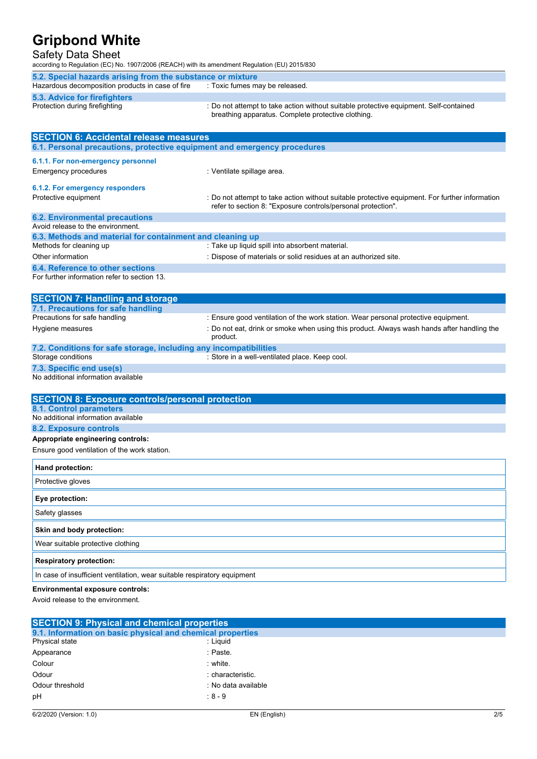### Safety Data Sheet

according to Regulation (EC) No. 1907/2006 (REACH) with its amendment Regulation (EU) 2015/830

| 5.2. Special hazards arising from the substance or mixture                                                                                  |
|---------------------------------------------------------------------------------------------------------------------------------------------|
| . Toxic fumes may be released.                                                                                                              |
|                                                                                                                                             |
| : Do not attempt to take action without suitable protective equipment. Self-contained<br>breathing apparatus. Complete protective clothing. |
|                                                                                                                                             |

| <b>SECTION 6: Accidental release measures</b>                            |                                                                                                                                                                |  |
|--------------------------------------------------------------------------|----------------------------------------------------------------------------------------------------------------------------------------------------------------|--|
| 6.1. Personal precautions, protective equipment and emergency procedures |                                                                                                                                                                |  |
| 6.1.1. For non-emergency personnel                                       |                                                                                                                                                                |  |
| <b>Emergency procedures</b>                                              | : Ventilate spillage area.                                                                                                                                     |  |
|                                                                          |                                                                                                                                                                |  |
| 6.1.2. For emergency responders                                          |                                                                                                                                                                |  |
| Protective equipment                                                     | : Do not attempt to take action without suitable protective equipment. For further information<br>refer to section 8: "Exposure controls/personal protection". |  |
| <b>6.2. Environmental precautions</b>                                    |                                                                                                                                                                |  |
| Avoid release to the environment.                                        |                                                                                                                                                                |  |
| 6.3. Methods and material for containment and cleaning up                |                                                                                                                                                                |  |
| Methods for cleaning up                                                  | : Take up liquid spill into absorbent material.                                                                                                                |  |
| Other information                                                        | : Dispose of materials or solid residues at an authorized site.                                                                                                |  |
| <b>6.4. Reference to other sections</b>                                  |                                                                                                                                                                |  |
| For further information refer to section 13.                             |                                                                                                                                                                |  |
|                                                                          |                                                                                                                                                                |  |
| <b>SECTION 7: Handling and storage</b>                                   |                                                                                                                                                                |  |
| 7.1. Precautions for safe handling                                       |                                                                                                                                                                |  |
| Precautions for safe handling                                            | : Ensure good ventilation of the work station. Wear personal protective equipment.                                                                             |  |
| Hygiene measures                                                         | : Do not eat, drink or smoke when using this product. Always wash hands after handling the<br>product.                                                         |  |
| 7.2. Conditions for safe storage, including any incompatibilities        |                                                                                                                                                                |  |
| Storage conditions                                                       | : Store in a well-ventilated place. Keep cool.                                                                                                                 |  |
| 7.3. Specific end use(s)                                                 |                                                                                                                                                                |  |
| No additional information available                                      |                                                                                                                                                                |  |
|                                                                          |                                                                                                                                                                |  |
| <b>SECTION 8: Exposure controls/personal protection</b>                  |                                                                                                                                                                |  |
| 8.1. Control parameters<br>No additional information available           |                                                                                                                                                                |  |
| 8.2. Exposure controls                                                   |                                                                                                                                                                |  |
| Appropriate engineering controls:                                        |                                                                                                                                                                |  |
| Ensure good ventilation of the work station.                             |                                                                                                                                                                |  |
|                                                                          |                                                                                                                                                                |  |
| <b>Hand protection:</b>                                                  |                                                                                                                                                                |  |
| Protective gloves                                                        |                                                                                                                                                                |  |
| Eye protection:                                                          |                                                                                                                                                                |  |
| Safety glasses                                                           |                                                                                                                                                                |  |
| Skin and body protection:                                                |                                                                                                                                                                |  |
| Wear suitable protective clothing                                        |                                                                                                                                                                |  |
|                                                                          |                                                                                                                                                                |  |

#### **Respiratory protection:**

In case of insufficient ventilation, wear suitable respiratory equipment

#### **Environmental exposure controls:**

Avoid release to the environment.

| <b>SECTION 9: Physical and chemical properties</b>         |                     |  |
|------------------------------------------------------------|---------------------|--|
| 9.1. Information on basic physical and chemical properties |                     |  |
| Physical state                                             | : Liquid            |  |
| Appearance                                                 | : Paste.            |  |
| Colour                                                     | : white             |  |
| Odour                                                      | : characteristic.   |  |
| Odour threshold                                            | : No data available |  |
| pH                                                         | $:8 - 9$            |  |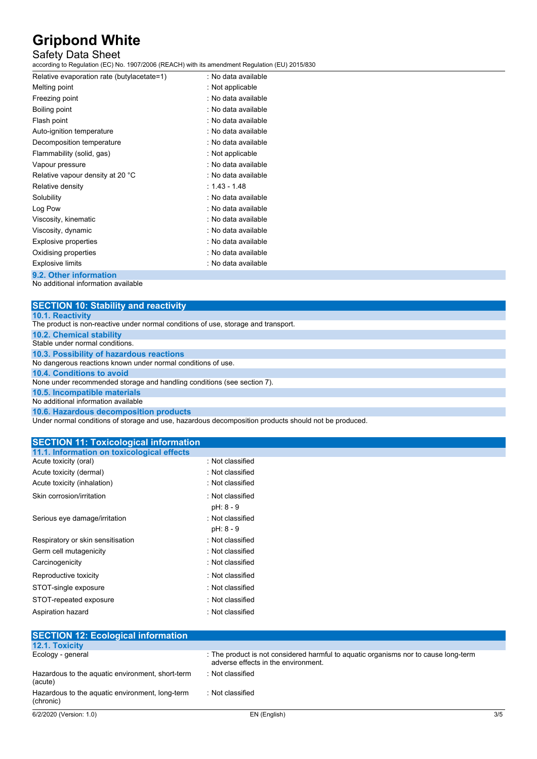### Safety Data Sheet

according to Regulation (EC) No. 1907/2006 (REACH) with its amendment Regulation (EU) 2015/830

| Relative evaporation rate (butylacetate=1) | : No data available |
|--------------------------------------------|---------------------|
| Melting point                              | : Not applicable    |
| Freezing point                             | : No data available |
| Boiling point                              | : No data available |
| Flash point                                | : No data available |
| Auto-ignition temperature                  | : No data available |
| Decomposition temperature                  | : No data available |
| Flammability (solid, gas)                  | : Not applicable    |
| Vapour pressure                            | : No data available |
| Relative vapour density at 20 °C           | : No data available |
| Relative density                           | $: 1.43 - 1.48$     |
| Solubility                                 | : No data available |
| Log Pow                                    | : No data available |
| Viscosity, kinematic                       | : No data available |
| Viscosity, dynamic                         | : No data available |
| Explosive properties                       | : No data available |
| Oxidising properties                       | : No data available |
| <b>Explosive limits</b>                    | : No data available |
|                                            |                     |

**9.2. Other information**

No additional information available

| <b>SECTION 10: Stability and reactivity</b>                                        |
|------------------------------------------------------------------------------------|
| <b>10.1. Reactivity</b>                                                            |
| The product is non-reactive under normal conditions of use, storage and transport. |
| <b>10.2. Chemical stability</b>                                                    |
| Stable under normal conditions.                                                    |
| 10.3. Possibility of hazardous reactions                                           |
| No dangerous reactions known under normal conditions of use.                       |
| 10.4. Conditions to avoid                                                          |
| None under recommended storage and handling conditions (see section 7).            |
| 10.5. Incompatible materials                                                       |
| No additional information available                                                |
| 10.6. Hazardous decomposition products                                             |
|                                                                                    |

Under normal conditions of storage and use, hazardous decomposition products should not be produced.

#### **SECTION 11: Toxicological information 11.1. Information on toxicological effects**

| Acute toxicity (oral)             | : Not classified              |
|-----------------------------------|-------------------------------|
| Acute toxicity (dermal)           | : Not classified              |
| Acute toxicity (inhalation)       | : Not classified              |
| Skin corrosion/irritation         | : Not classified<br>pH: 8 - 9 |
| Serious eye damage/irritation     | : Not classified<br>pH: 8 - 9 |
| Respiratory or skin sensitisation | : Not classified              |
| Germ cell mutagenicity            | : Not classified              |
| Carcinogenicity                   | : Not classified              |
| Reproductive toxicity             | : Not classified              |
| STOT-single exposure              | : Not classified              |
| STOT-repeated exposure            | : Not classified              |
| Aspiration hazard                 | : Not classified              |

| <b>SECTION 12: Ecological information</b>                    |                                                                                                                            |     |
|--------------------------------------------------------------|----------------------------------------------------------------------------------------------------------------------------|-----|
| 12.1. Toxicity                                               |                                                                                                                            |     |
| Ecology - general                                            | : The product is not considered harmful to aguatic organisms nor to cause long-term<br>adverse effects in the environment. |     |
| Hazardous to the aquatic environment, short-term<br>(acute)  | : Not classified                                                                                                           |     |
| Hazardous to the aquatic environment, long-term<br>(chronic) | : Not classified                                                                                                           |     |
| 6/2/2020 (Version: 1.0)                                      | EN (English)                                                                                                               | 3/5 |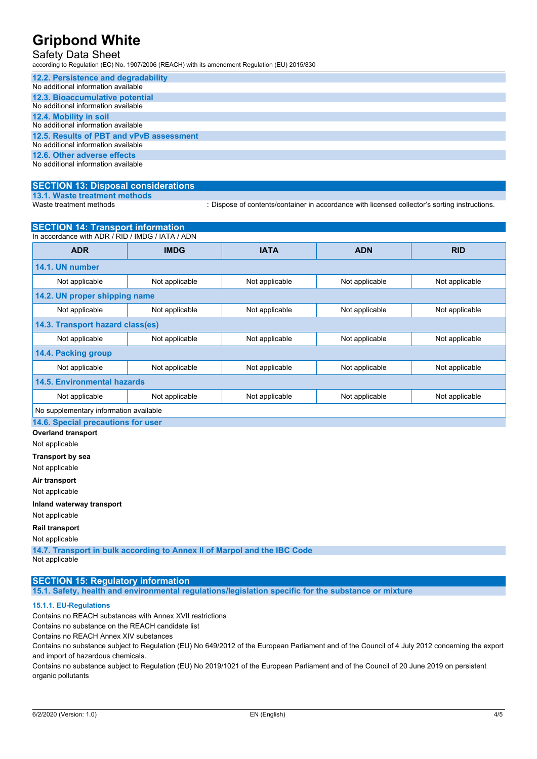# Safety Data Sheet

according to Regulation (EC) No. 1907/2006 (REACH) with its amendment Regulation (EU) 2015/830

| 12.2. Persistence and degradability      |
|------------------------------------------|
| No additional information available      |
| 12.3. Bioaccumulative potential          |
| No additional information available      |
| 12.4. Mobility in soil                   |
| No additional information available      |
| 12.5. Results of PBT and vPvB assessment |
| No additional information available      |
| 12.6. Other adverse effects              |
| No additional information available      |

#### **SECTION 13: Disposal considerations**

**13.1. Waste treatment methods**

: Dispose of contents/container in accordance with licensed collector's sorting instructions.

| <b>SECTION 14: Transport information</b>         |                |                |                |                |
|--------------------------------------------------|----------------|----------------|----------------|----------------|
| In accordance with ADR / RID / IMDG / IATA / ADN |                |                |                |                |
| <b>ADR</b>                                       | <b>IMDG</b>    | <b>IATA</b>    | <b>ADN</b>     | <b>RID</b>     |
| 14.1. UN number                                  |                |                |                |                |
| Not applicable                                   | Not applicable | Not applicable | Not applicable | Not applicable |
| 14.2. UN proper shipping name                    |                |                |                |                |
| Not applicable                                   | Not applicable | Not applicable | Not applicable | Not applicable |
| 14.3. Transport hazard class(es)                 |                |                |                |                |
| Not applicable                                   | Not applicable | Not applicable | Not applicable | Not applicable |
| 14.4. Packing group                              |                |                |                |                |
| Not applicable                                   | Not applicable | Not applicable | Not applicable | Not applicable |
| <b>14.5. Environmental hazards</b>               |                |                |                |                |
| Not applicable                                   | Not applicable | Not applicable | Not applicable | Not applicable |
| No supplementary information available           |                |                |                |                |
| 14.6. Special precautions for user               |                |                |                |                |
| <b>Overland transport</b>                        |                |                |                |                |
| Not applicable                                   |                |                |                |                |
| Transport by sea                                 |                |                |                |                |
| Not applicable                                   |                |                |                |                |
| Air transport                                    |                |                |                |                |
| Not applicable                                   |                |                |                |                |

**Inland waterway transport**

Not applicable

# **Rail transport**

Not applicable

**14.7. Transport in bulk according to Annex II of Marpol and the IBC Code** Not applicable

### **SECTION 15: Regulatory information**

**15.1. Safety, health and environmental regulations/legislation specific for the substance or mixture**

#### **15.1.1. EU-Regulations**

Contains no REACH substances with Annex XVII restrictions

Contains no substance on the REACH candidate list

Contains no REACH Annex XIV substances

Contains no substance subject to Regulation (EU) No 649/2012 of the European Parliament and of the Council of 4 July 2012 concerning the export and import of hazardous chemicals.

Contains no substance subject to Regulation (EU) No 2019/1021 of the European Parliament and of the Council of 20 June 2019 on persistent organic pollutants